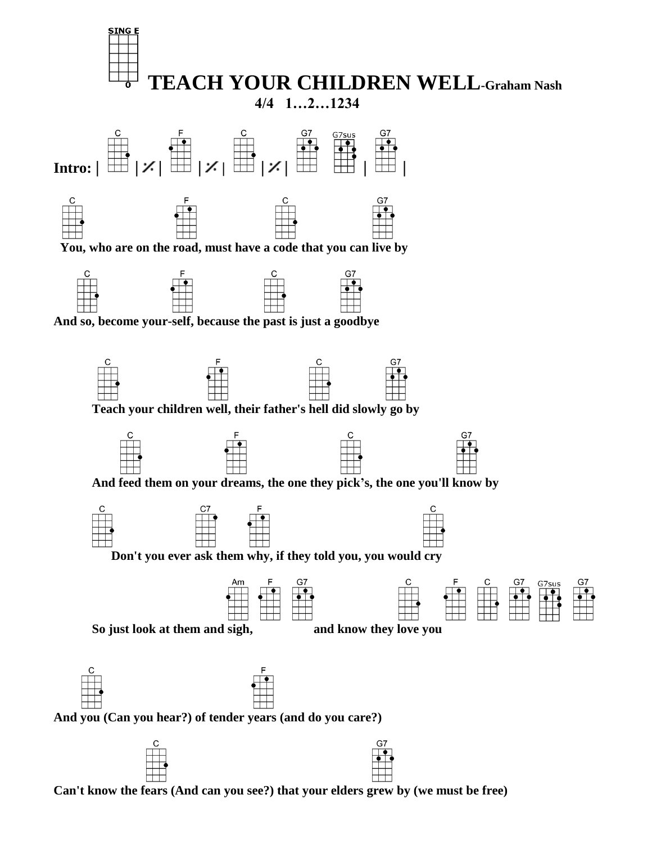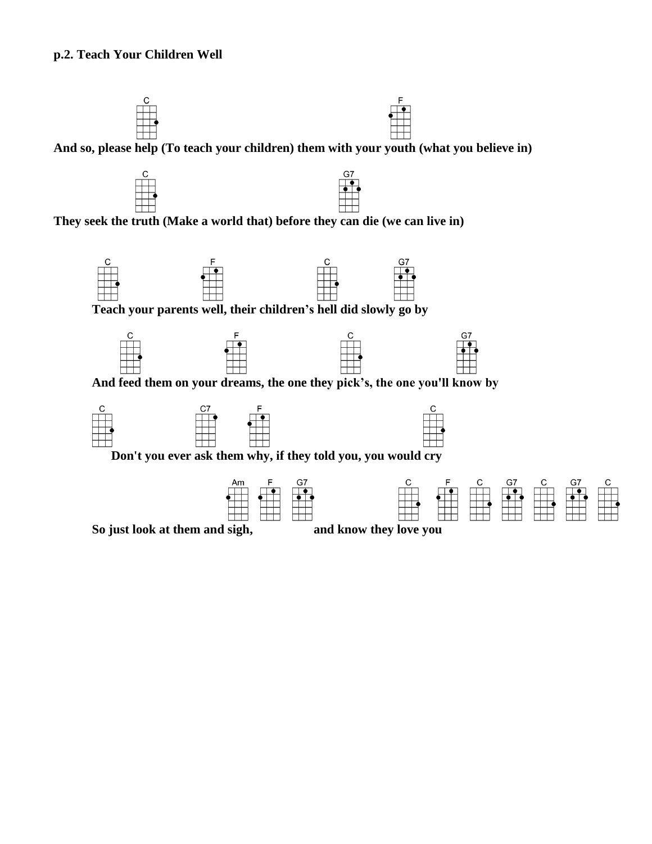## **p.2. Teach Your Children Well**